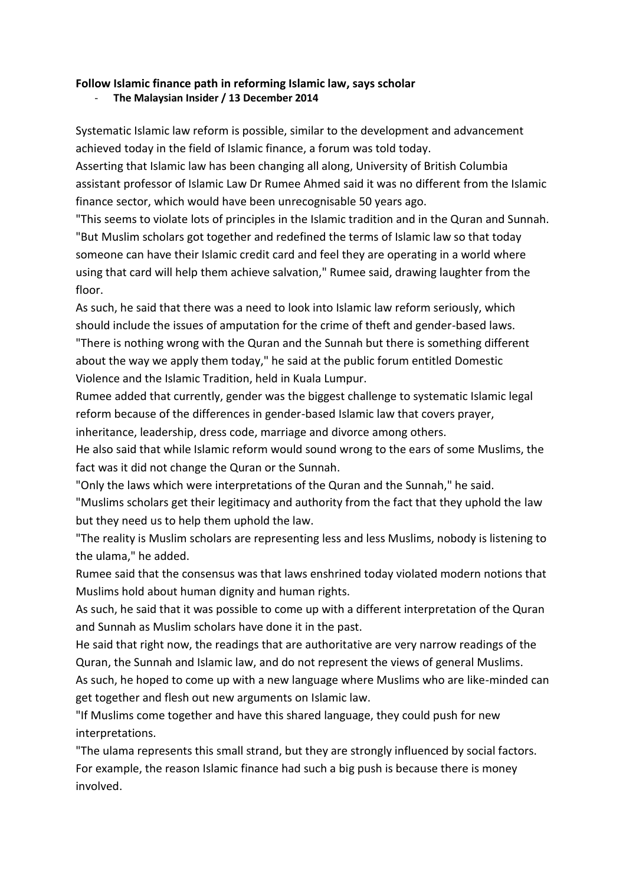# **Follow Islamic finance path in reforming Islamic law, says scholar**

- **The Malaysian Insider / 13 December 2014**

Systematic Islamic law reform is possible, similar to the development and advancement achieved today in the field of Islamic finance, a forum was told today.

Asserting that Islamic law has been changing all along, University of British Columbia assistant professor of Islamic Law Dr Rumee Ahmed said it was no different from the Islamic finance sector, which would have been unrecognisable 50 years ago.

"This seems to violate lots of principles in the Islamic tradition and in the Quran and Sunnah. "But Muslim scholars got together and redefined the terms of Islamic law so that today someone can have their Islamic credit card and feel they are operating in a world where using that card will help them achieve salvation," Rumee said, drawing laughter from the floor.

As such, he said that there was a need to look into Islamic law reform seriously, which should include the issues of amputation for the crime of theft and gender-based laws. "There is nothing wrong with the Quran and the Sunnah but there is something different about the way we apply them today," he said at the public forum entitled Domestic Violence and the Islamic Tradition, held in Kuala Lumpur.

Rumee added that currently, gender was the biggest challenge to systematic Islamic legal reform because of the differences in gender-based Islamic law that covers prayer, inheritance, leadership, dress code, marriage and divorce among others.

He also said that while Islamic reform would sound wrong to the ears of some Muslims, the fact was it did not change the Quran or the Sunnah.

"Only the laws which were interpretations of the Quran and the Sunnah," he said.

"Muslims scholars get their legitimacy and authority from the fact that they uphold the law but they need us to help them uphold the law.

"The reality is Muslim scholars are representing less and less Muslims, nobody is listening to the ulama," he added.

Rumee said that the consensus was that laws enshrined today violated modern notions that Muslims hold about human dignity and human rights.

As such, he said that it was possible to come up with a different interpretation of the Quran and Sunnah as Muslim scholars have done it in the past.

He said that right now, the readings that are authoritative are very narrow readings of the Quran, the Sunnah and Islamic law, and do not represent the views of general Muslims. As such, he hoped to come up with a new language where Muslims who are like-minded can get together and flesh out new arguments on Islamic law.

"If Muslims come together and have this shared language, they could push for new interpretations.

"The ulama represents this small strand, but they are strongly influenced by social factors. For example, the reason Islamic finance had such a big push is because there is money involved.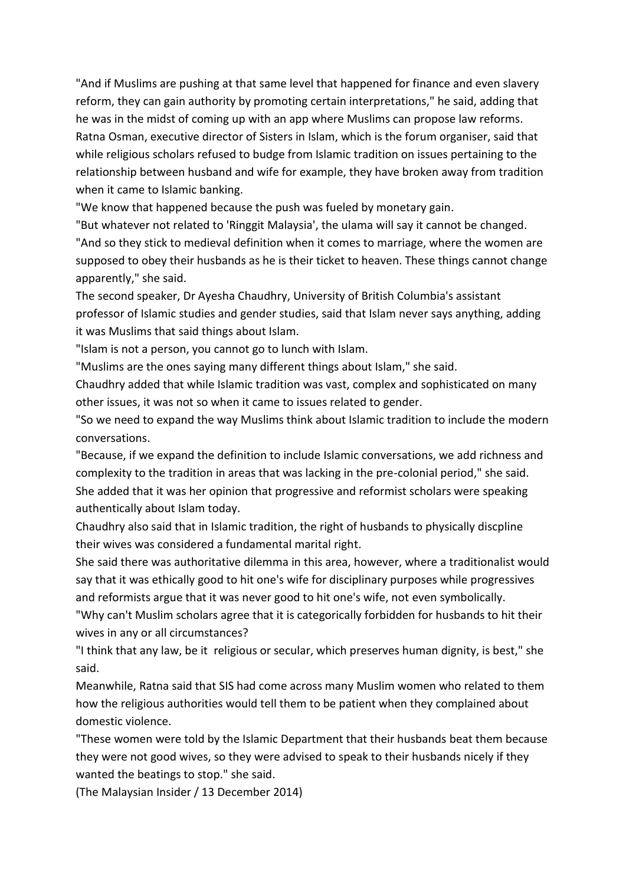"And if Muslims are pushing at that same level that happened for finance and even slavery reform, they can gain authority by promoting certain interpretations," he said, adding that he was in the midst of coming up with an app where Muslims can propose law reforms. Ratna Osman, executive director of Sisters in Islam, which is the forum organiser, said that while religious scholars refused to budge from Islamic tradition on issues pertaining to the relationship between husband and wife for example, they have broken away from tradition when it came to Islamic banking.

"We know that happened because the push was fueled by monetary gain.

"But whatever not related to 'Ringgit Malaysia', the ulama will say it cannot be changed. "And so they stick to medieval definition when it comes to marriage, where the women are supposed to obey their husbands as he is their ticket to heaven. These things cannot change apparently," she said.

The second speaker, Dr Ayesha Chaudhry, University of British Columbia's assistant professor of Islamic studies and gender studies, said that Islam never says anything, adding it was Muslims that said things about Islam.

"Islam is not a person, you cannot go to lunch with Islam.

"Muslims are the ones saying many different things about Islam," she said.

Chaudhry added that while Islamic tradition was vast, complex and sophisticated on many other issues, it was not so when it came to issues related to gender.

"So we need to expand the way Muslims think about Islamic tradition to include the modern conversations.

"Because, if we expand the definition to include Islamic conversations, we add richness and complexity to the tradition in areas that was lacking in the pre-colonial period," she said. She added that it was her opinion that progressive and reformist scholars were speaking authentically about Islam today.

Chaudhry also said that in Islamic tradition, the right of husbands to physically discpline their wives was considered a fundamental marital right.

She said there was authoritative dilemma in this area, however, where a traditionalist would say that it was ethically good to hit one's wife for disciplinary purposes while progressives and reformists argue that it was never good to hit one's wife, not even symbolically.

"Why can't Muslim scholars agree that it is categorically forbidden for husbands to hit their wives in any or all circumstances?

"I think that any law, be it religious or secular, which preserves human dignity, is best," she said.

Meanwhile, Ratna said that SIS had come across many Muslim women who related to them how the religious authorities would tell them to be patient when they complained about domestic violence.

"These women were told by the Islamic Department that their husbands beat them because they were not good wives, so they were advised to speak to their husbands nicely if they wanted the beatings to stop." she said.

(The Malaysian Insider / 13 December 2014)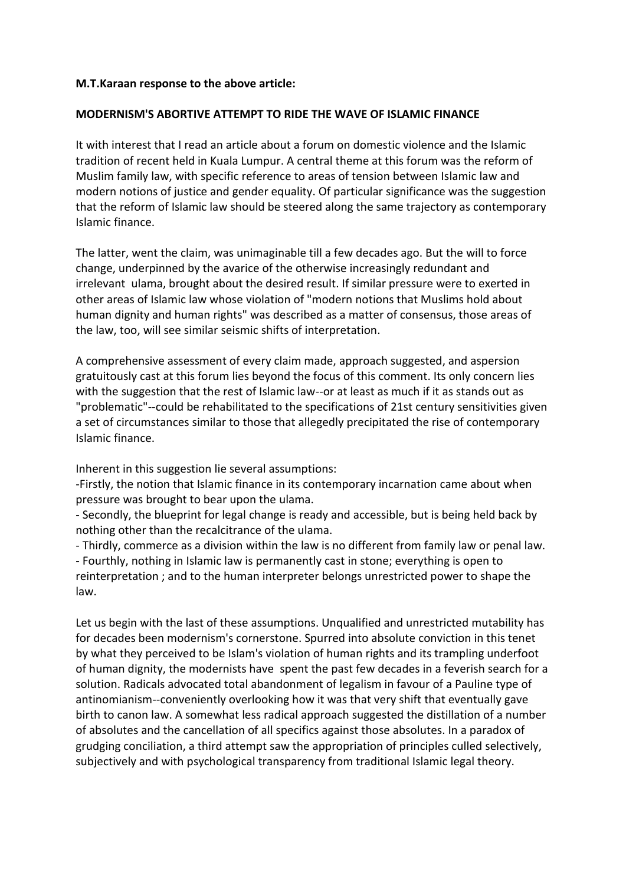## **M.T.Karaan response to the above article:**

#### **MODERNISM'S ABORTIVE ATTEMPT TO RIDE THE WAVE OF ISLAMIC FINANCE**

It with interest that I read an article about a forum on domestic violence and the Islamic tradition of recent held in Kuala Lumpur. A central theme at this forum was the reform of Muslim family law, with specific reference to areas of tension between Islamic law and modern notions of justice and gender equality. Of particular significance was the suggestion that the reform of Islamic law should be steered along the same trajectory as contemporary Islamic finance.

The latter, went the claim, was unimaginable till a few decades ago. But the will to force change, underpinned by the avarice of the otherwise increasingly redundant and irrelevant ulama, brought about the desired result. If similar pressure were to exerted in other areas of Islamic law whose violation of "modern notions that Muslims hold about human dignity and human rights" was described as a matter of consensus, those areas of the law, too, will see similar seismic shifts of interpretation.

A comprehensive assessment of every claim made, approach suggested, and aspersion gratuitously cast at this forum lies beyond the focus of this comment. Its only concern lies with the suggestion that the rest of Islamic law--or at least as much if it as stands out as "problematic"--could be rehabilitated to the specifications of 21st century sensitivities given a set of circumstances similar to those that allegedly precipitated the rise of contemporary Islamic finance.

Inherent in this suggestion lie several assumptions:

-Firstly, the notion that Islamic finance in its contemporary incarnation came about when pressure was brought to bear upon the ulama.

- Secondly, the blueprint for legal change is ready and accessible, but is being held back by nothing other than the recalcitrance of the ulama.

- Thirdly, commerce as a division within the law is no different from family law or penal law. - Fourthly, nothing in Islamic law is permanently cast in stone; everything is open to reinterpretation ; and to the human interpreter belongs unrestricted power to shape the law.

Let us begin with the last of these assumptions. Unqualified and unrestricted mutability has for decades been modernism's cornerstone. Spurred into absolute conviction in this tenet by what they perceived to be Islam's violation of human rights and its trampling underfoot of human dignity, the modernists have spent the past few decades in a feverish search for a solution. Radicals advocated total abandonment of legalism in favour of a Pauline type of antinomianism--conveniently overlooking how it was that very shift that eventually gave birth to canon law. A somewhat less radical approach suggested the distillation of a number of absolutes and the cancellation of all specifics against those absolutes. In a paradox of grudging conciliation, a third attempt saw the appropriation of principles culled selectively, subjectively and with psychological transparency from traditional Islamic legal theory.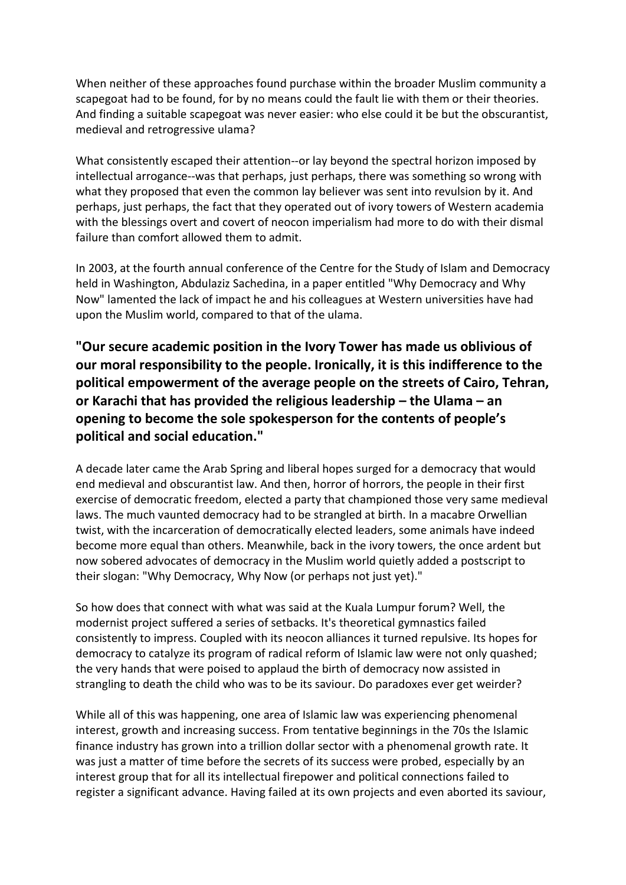When neither of these approaches found purchase within the broader Muslim community a scapegoat had to be found, for by no means could the fault lie with them or their theories. And finding a suitable scapegoat was never easier: who else could it be but the obscurantist, medieval and retrogressive ulama?

What consistently escaped their attention--or lay beyond the spectral horizon imposed by intellectual arrogance--was that perhaps, just perhaps, there was something so wrong with what they proposed that even the common lay believer was sent into revulsion by it. And perhaps, just perhaps, the fact that they operated out of ivory towers of Western academia with the blessings overt and covert of neocon imperialism had more to do with their dismal failure than comfort allowed them to admit.

In 2003, at the fourth annual conference of the Centre for the Study of Islam and Democracy held in Washington, Abdulaziz Sachedina, in a paper entitled "Why Democracy and Why Now" lamented the lack of impact he and his colleagues at Western universities have had upon the Muslim world, compared to that of the ulama.

**"Our secure academic position in the Ivory Tower has made us oblivious of our moral responsibility to the people. Ironically, it is this indifference to the political empowerment of the average people on the streets of Cairo, Tehran, or Karachi that has provided the religious leadership – the Ulama – an opening to become the sole spokesperson for the contents of people's political and social education."**

A decade later came the Arab Spring and liberal hopes surged for a democracy that would end medieval and obscurantist law. And then, horror of horrors, the people in their first exercise of democratic freedom, elected a party that championed those very same medieval laws. The much vaunted democracy had to be strangled at birth. In a macabre Orwellian twist, with the incarceration of democratically elected leaders, some animals have indeed become more equal than others. Meanwhile, back in the ivory towers, the once ardent but now sobered advocates of democracy in the Muslim world quietly added a postscript to their slogan: "Why Democracy, Why Now (or perhaps not just yet)."

So how does that connect with what was said at the Kuala Lumpur forum? Well, the modernist project suffered a series of setbacks. It's theoretical gymnastics failed consistently to impress. Coupled with its neocon alliances it turned repulsive. Its hopes for democracy to catalyze its program of radical reform of Islamic law were not only quashed; the very hands that were poised to applaud the birth of democracy now assisted in strangling to death the child who was to be its saviour. Do paradoxes ever get weirder?

While all of this was happening, one area of Islamic law was experiencing phenomenal interest, growth and increasing success. From tentative beginnings in the 70s the Islamic finance industry has grown into a trillion dollar sector with a phenomenal growth rate. It was just a matter of time before the secrets of its success were probed, especially by an interest group that for all its intellectual firepower and political connections failed to register a significant advance. Having failed at its own projects and even aborted its saviour,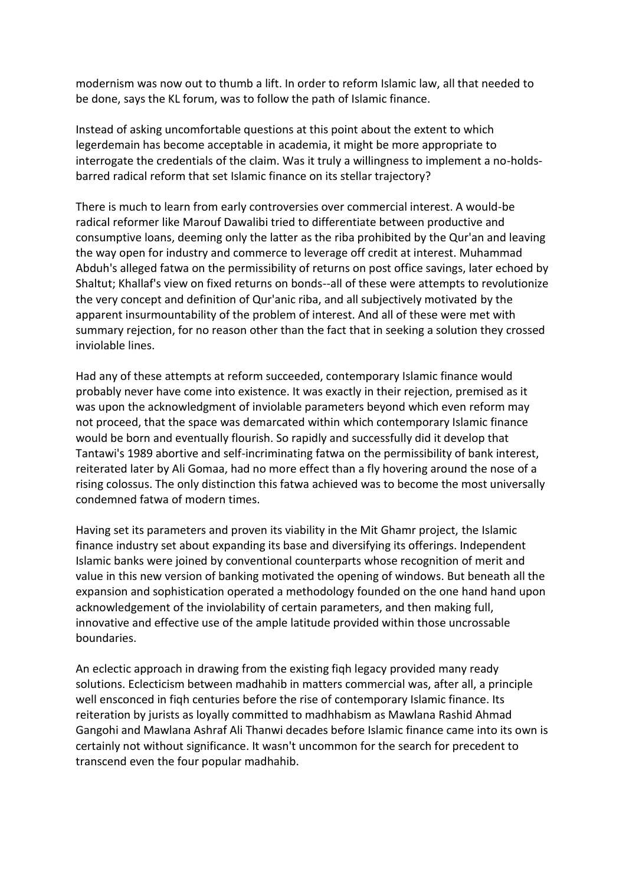modernism was now out to thumb a lift. In order to reform Islamic law, all that needed to be done, says the KL forum, was to follow the path of Islamic finance.

Instead of asking uncomfortable questions at this point about the extent to which legerdemain has become acceptable in academia, it might be more appropriate to interrogate the credentials of the claim. Was it truly a willingness to implement a no-holdsbarred radical reform that set Islamic finance on its stellar trajectory?

There is much to learn from early controversies over commercial interest. A would-be radical reformer like Marouf Dawalibi tried to differentiate between productive and consumptive loans, deeming only the latter as the riba prohibited by the Qur'an and leaving the way open for industry and commerce to leverage off credit at interest. Muhammad Abduh's alleged fatwa on the permissibility of returns on post office savings, later echoed by Shaltut; Khallaf's view on fixed returns on bonds--all of these were attempts to revolutionize the very concept and definition of Qur'anic riba, and all subjectively motivated by the apparent insurmountability of the problem of interest. And all of these were met with summary rejection, for no reason other than the fact that in seeking a solution they crossed inviolable lines.

Had any of these attempts at reform succeeded, contemporary Islamic finance would probably never have come into existence. It was exactly in their rejection, premised as it was upon the acknowledgment of inviolable parameters beyond which even reform may not proceed, that the space was demarcated within which contemporary Islamic finance would be born and eventually flourish. So rapidly and successfully did it develop that Tantawi's 1989 abortive and self-incriminating fatwa on the permissibility of bank interest, reiterated later by Ali Gomaa, had no more effect than a fly hovering around the nose of a rising colossus. The only distinction this fatwa achieved was to become the most universally condemned fatwa of modern times.

Having set its parameters and proven its viability in the Mit Ghamr project, the Islamic finance industry set about expanding its base and diversifying its offerings. Independent Islamic banks were joined by conventional counterparts whose recognition of merit and value in this new version of banking motivated the opening of windows. But beneath all the expansion and sophistication operated a methodology founded on the one hand hand upon acknowledgement of the inviolability of certain parameters, and then making full, innovative and effective use of the ample latitude provided within those uncrossable boundaries.

An eclectic approach in drawing from the existing fiqh legacy provided many ready solutions. Eclecticism between madhahib in matters commercial was, after all, a principle well ensconced in fiqh centuries before the rise of contemporary Islamic finance. Its reiteration by jurists as loyally committed to madhhabism as Mawlana Rashid Ahmad Gangohi and Mawlana Ashraf Ali Thanwi decades before Islamic finance came into its own is certainly not without significance. It wasn't uncommon for the search for precedent to transcend even the four popular madhahib.